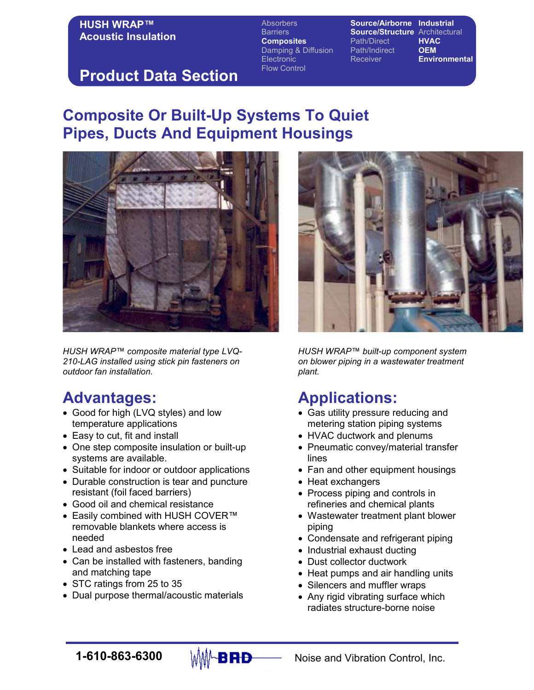#### **HUSH WRAP™** Acoustic Insulation

Absorbers **Source/Airborne Industrial** Barriers **Source/Structure** Architectural<br> **Composites** Path/Direct **HVAC Composites** Path/Direct Damping & Diffusion Path/Indirect OEM Electronic Receiver **Environmental** Flow Control

## Product Data Section

# Composite Or Built-Up Systems To Quiet Pipes, Ducts And Equipment Housings



HUSH WRAP™ composite material type LVQ-210-LAG installed using stick pin fasteners on outdoor fan installation.

# Advantages:

- Good for high (LVQ styles) and low temperature applications
- Easy to cut, fit and install
- One step composite insulation or built-up systems are available.
- Suitable for indoor or outdoor applications
- Durable construction is tear and puncture resistant (foil faced barriers)
- Good oil and chemical resistance
- Easily combined with HUSH COVER™ removable blankets where access is needed
- Lead and asbestos free
- Can be installed with fasteners, banding and matching tape
- STC ratings from 25 to 35
- Dual purpose thermal/acoustic materials

HUSH WRAP™ built-up component system on blower piping in a wastewater treatment plant.

# Applications:

- Gas utility pressure reducing and metering station piping systems
- HVAC ductwork and plenums
- Pneumatic convey/material transfer lines
- Fan and other equipment housings
- Heat exchangers
- Process piping and controls in refineries and chemical plants
- Wastewater treatment plant blower piping
- Condensate and refrigerant piping
- Industrial exhaust ducting
- Dust collector ductwork
- Heat pumps and air handling units
- Silencers and muffler wraps
- Any rigid vibrating surface which radiates structure-borne noise



**1-610-863-6300**  $\downarrow$  MM-**B RD** Noise and Vibration Control, Inc.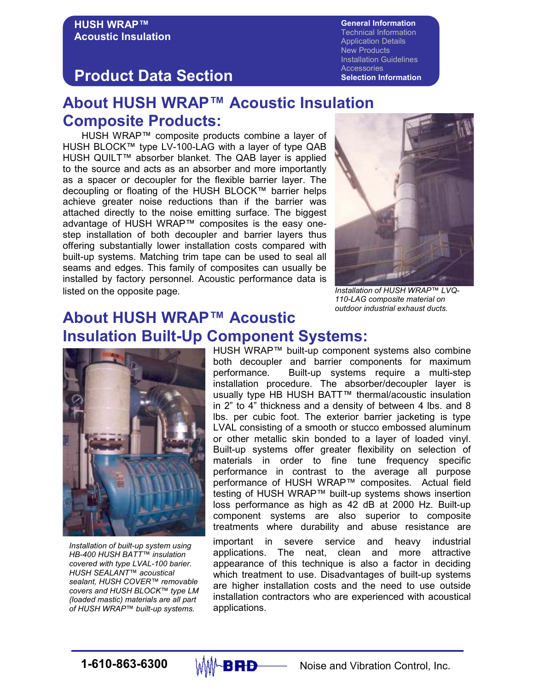General Information Technical Information Application Details New Products Installation Guidelines **Accessories** Selection Information

#### Product Data Section

## About HUSH WRAP™ Acoustic Insulation Composite Products:

HUSH WRAP™ composite products combine a layer of HUSH BLOCK™ type LV-100-LAG with a layer of type QAB HUSH QUILT™ absorber blanket. The QAB layer is applied to the source and acts as an absorber and more importantly as a spacer or decoupler for the flexible barrier layer. The decoupling or floating of the HUSH BLOCK™ barrier helps achieve greater noise reductions than if the barrier was attached directly to the noise emitting surface. The biggest advantage of HUSH WRAP™ composites is the easy onestep installation of both decoupler and barrier layers thus offering substantially lower installation costs compared with built-up systems. Matching trim tape can be used to seal all seams and edges. This family of composites can usually be installed by factory personnel. Acoustic performance data is listed on the opposite page.



Installation of HUSH WRAP™ LVQ-110-LAG composite material on outdoor industrial exhaust ducts.

#### About HUSH WRAP™ Acoustic Insulation Built-Up Component Systems:



Installation of built-up system using HB-400 HUSH BATT™ insulation covered with type LVAL-100 barier. HUSH SEALANT™ acoustical sealant, HUSH COVER™ removable covers and HUSH BLOCK™ type LM (loaded mastic) materials are all part of HUSH WRAP™ built-up systems.

HUSH WRAP™ built-up component systems also combine both decoupler and barrier components for maximum performance. Built-up systems require a multi-step installation procedure. The absorber/decoupler layer is usually type HB HUSH BATT™ thermal/acoustic insulation in 2" to 4" thickness and a density of between 4 lbs. and 8 lbs. per cubic foot. The exterior barrier jacketing is type LVAL consisting of a smooth or stucco embossed aluminum or other metallic skin bonded to a layer of loaded vinyl. Built-up systems offer greater flexibility on selection of materials in order to fine tune frequency specific performance in contrast to the average all purpose performance of HUSH WRAP™ composites. Actual field testing of HUSH WRAP™ built-up systems shows insertion loss performance as high as 42 dB at 2000 Hz. Built-up component systems are also superior to composite treatments where durability and abuse resistance are

important in severe service and heavy industrial applications. The neat, clean and more attractive appearance of this technique is also a factor in deciding which treatment to use. Disadvantages of built-up systems are higher installation costs and the need to use outside installation contractors who are experienced with acoustical applications.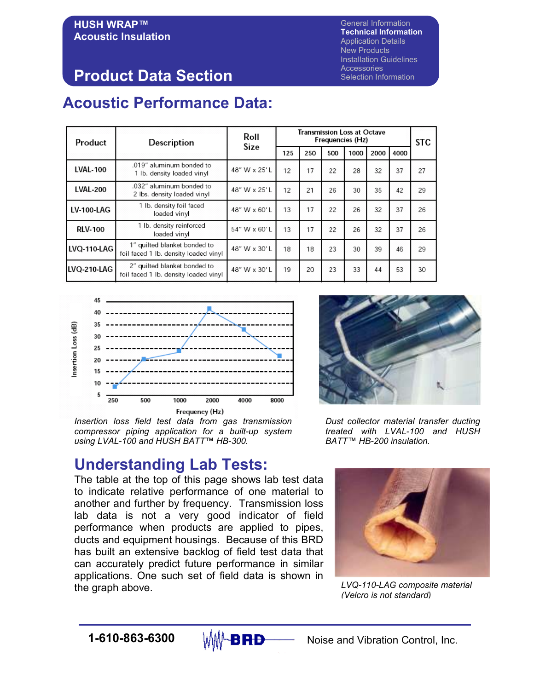General Information Technical Information Application Details New Products Installation Guidelines **Accessories** Selection Information

# Product Data Section

# Acoustic Performance Data:

| Product            | Description                                                           | Roll<br>Size | <b>Transmission Loss at Octave</b><br>Frequencies (Hz) |     |     |      |      |      | <b>STC</b> |
|--------------------|-----------------------------------------------------------------------|--------------|--------------------------------------------------------|-----|-----|------|------|------|------------|
|                    |                                                                       |              | 125                                                    | 250 | 500 | 1000 | 2000 | 4000 |            |
| <b>LVAL-100</b>    | .019" aluminum bonded to<br>1 lb. density loaded vinyl                | 48" W x 25'L | 12                                                     | 17  | 22  | 28   | 32   | 37   | 27         |
| <b>LVAL-200</b>    | .032" aluminum bonded to<br>2 lbs. density loaded vinyl               | 48" W x 25'L | 12                                                     | 21  | 26  | 30   | 35   | 42   | 29         |
| <b>LV-100-LAG</b>  | 1 lb. density foil faced<br>loaded vinyl                              | 48" W x 60'L | 13                                                     | 17  | 22  | 26   | 32   | 37   | 26         |
| <b>RLV-100</b>     | 1 lb. density reinforced<br>loaded vinyl                              | 54" W x 60'L | 13                                                     | 17  | 22  | 26   | 32   | 37   | 26         |
| <b>LVQ-110-LAG</b> | 1" quilted blanket bonded to<br>foil faced 1 lb. density loaded vinyl | 48" W x 30'L | 18                                                     | 18  | 23  | 30   | 39   | 46   | 29         |
| <b>LVO-210-LAG</b> | 2" quilted blanket bonded to<br>foil faced 1 lb. density loaded vinyl | 48" W x 30'L | 19                                                     | 20  | 23  | 33   | 44   | 53   | 30         |



Insertion loss field test data from gas transmission compressor piping application for a built-up system using LVAL-100 and HUSH BATT™ HB-300.

## Understanding Lab Tests:

The table at the top of this page shows lab test data to indicate relative performance of one material to another and further by frequency. Transmission loss lab data is not a very good indicator of field performance when products are applied to pipes, ducts and equipment housings. Because of this BRD has built an extensive backlog of field test data that can accurately predict future performance in similar applications. One such set of field data is shown in the graph above. The graph above the graph above the graph above the structure  $LVO-110-LAG$  composite material



Dust collector material transfer ducting treated with LVAL-100 and HUSH BATT™ HB-200 insulation.



(Velcro is not standard)